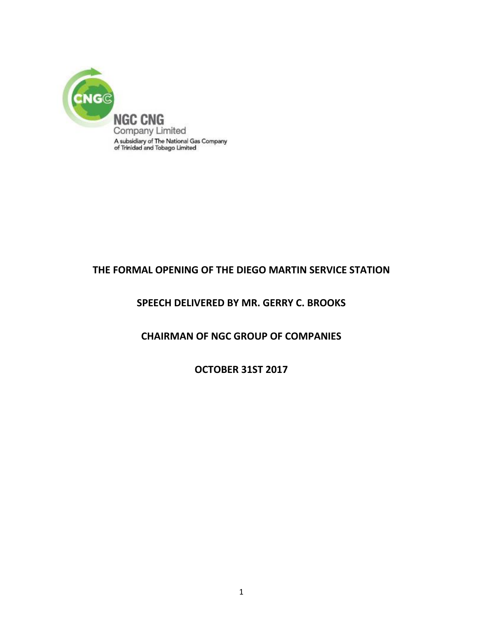

## **THE FORMAL OPENING OF THE DIEGO MARTIN SERVICE STATION**

## **SPEECH DELIVERED BY MR. GERRY C. BROOKS**

## **CHAIRMAN OF NGC GROUP OF COMPANIES**

**OCTOBER 31ST 2017**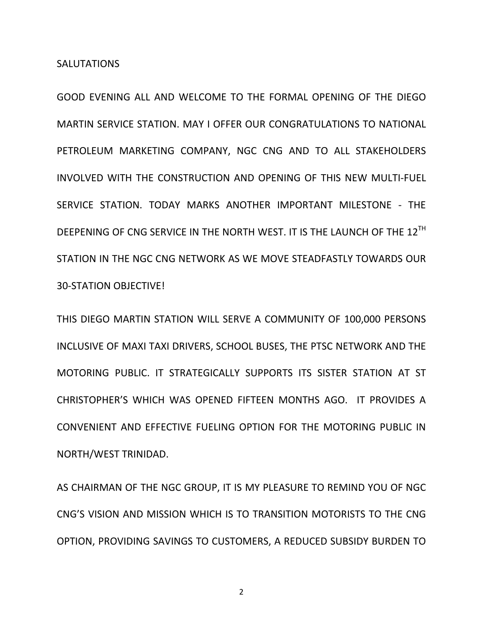GOOD EVENING ALL AND WELCOME TO THE FORMAL OPENING OF THE DIEGO MARTIN SERVICE STATION. MAY I OFFER OUR CONGRATULATIONS TO NATIONAL PETROLEUM MARKETING COMPANY, NGC CNG AND TO ALL STAKEHOLDERS INVOLVED WITH THE CONSTRUCTION AND OPENING OF THIS NEW MULTI-FUEL SERVICE STATION. TODAY MARKS ANOTHER IMPORTANT MILESTONE - THE DEEPENING OF CNG SERVICE IN THE NORTH WEST. IT IS THE LAUNCH OF THE 12<sup>TH</sup> STATION IN THE NGC CNG NETWORK AS WE MOVE STEADFASTLY TOWARDS OUR 30-STATION OBJECTIVE!

THIS DIEGO MARTIN STATION WILL SERVE A COMMUNITY OF 100,000 PERSONS INCLUSIVE OF MAXI TAXI DRIVERS, SCHOOL BUSES, THE PTSC NETWORK AND THE MOTORING PUBLIC. IT STRATEGICALLY SUPPORTS ITS SISTER STATION AT ST CHRISTOPHER'S WHICH WAS OPENED FIFTEEN MONTHS AGO. IT PROVIDES A CONVENIENT AND EFFECTIVE FUELING OPTION FOR THE MOTORING PUBLIC IN NORTH/WEST TRINIDAD.

AS CHAIRMAN OF THE NGC GROUP, IT IS MY PLEASURE TO REMIND YOU OF NGC CNG'S VISION AND MISSION WHICH IS TO TRANSITION MOTORISTS TO THE CNG OPTION, PROVIDING SAVINGS TO CUSTOMERS, A REDUCED SUBSIDY BURDEN TO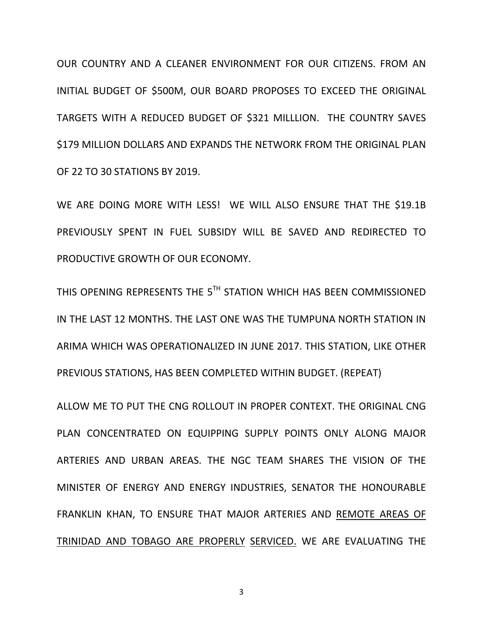OUR COUNTRY AND A CLEANER ENVIRONMENT FOR OUR CITIZENS. FROM AN INITIAL BUDGET OF \$500M, OUR BOARD PROPOSES TO EXCEED THE ORIGINAL TARGETS WITH A REDUCED BUDGET OF \$321 MILLLION. THE COUNTRY SAVES \$179 MILLION DOLLARS AND EXPANDS THE NETWORK FROM THE ORIGINAL PLAN OF 22 TO 30 STATIONS BY 2019.

WE ARE DOING MORE WITH LESS! WE WILL ALSO ENSURE THAT THE \$19.1B PREVIOUSLY SPENT IN FUEL SUBSIDY WILL BE SAVED AND REDIRECTED TO PRODUCTIVE GROWTH OF OUR ECONOMY.

THIS OPENING REPRESENTS THE 5 $^{\sf{TH}}$  STATION WHICH HAS BEEN COMMISSIONED IN THE LAST 12 MONTHS. THE LAST ONE WAS THE TUMPUNA NORTH STATION IN ARIMA WHICH WAS OPERATIONALIZED IN JUNE 2017. THIS STATION, LIKE OTHER PREVIOUS STATIONS, HAS BEEN COMPLETED WITHIN BUDGET. (REPEAT)

ALLOW ME TO PUT THE CNG ROLLOUT IN PROPER CONTEXT. THE ORIGINAL CNG PLAN CONCENTRATED ON EQUIPPING SUPPLY POINTS ONLY ALONG MAJOR ARTERIES AND URBAN AREAS. THE NGC TEAM SHARES THE VISION OF THE MINISTER OF ENERGY AND ENERGY INDUSTRIES, SENATOR THE HONOURABLE FRANKLIN KHAN, TO ENSURE THAT MAJOR ARTERIES AND REMOTE AREAS OF TRINIDAD AND TOBAGO ARE PROPERLY SERVICED. WE ARE EVALUATING THE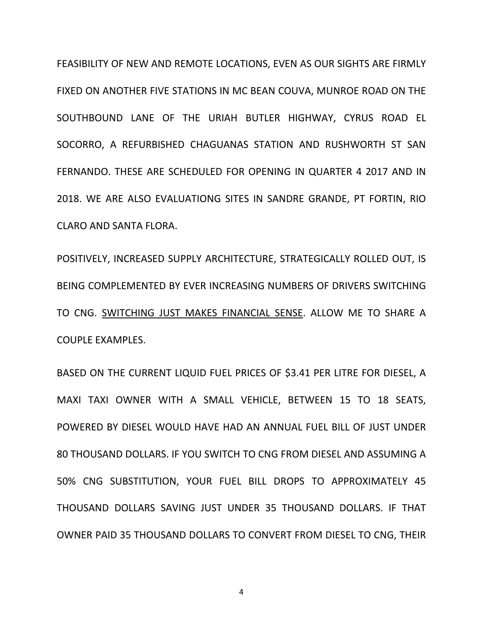FEASIBILITY OF NEW AND REMOTE LOCATIONS, EVEN AS OUR SIGHTS ARE FIRMLY FIXED ON ANOTHER FIVE STATIONS IN MC BEAN COUVA, MUNROE ROAD ON THE SOUTHBOUND LANE OF THE URIAH BUTLER HIGHWAY, CYRUS ROAD EL SOCORRO, A REFURBISHED CHAGUANAS STATION AND RUSHWORTH ST SAN FERNANDO. THESE ARE SCHEDULED FOR OPENING IN QUARTER 4 2017 AND IN 2018. WE ARE ALSO EVALUATIONG SITES IN SANDRE GRANDE, PT FORTIN, RIO CLARO AND SANTA FLORA.

POSITIVELY, INCREASED SUPPLY ARCHITECTURE, STRATEGICALLY ROLLED OUT, IS BEING COMPLEMENTED BY EVER INCREASING NUMBERS OF DRIVERS SWITCHING TO CNG. SWITCHING JUST MAKES FINANCIAL SENSE. ALLOW ME TO SHARE A COUPLE EXAMPLES.

BASED ON THE CURRENT LIQUID FUEL PRICES OF \$3.41 PER LITRE FOR DIESEL, A MAXI TAXI OWNER WITH A SMALL VEHICLE, BETWEEN 15 TO 18 SEATS, POWERED BY DIESEL WOULD HAVE HAD AN ANNUAL FUEL BILL OF JUST UNDER 80 THOUSAND DOLLARS. IF YOU SWITCH TO CNG FROM DIESEL AND ASSUMING A 50% CNG SUBSTITUTION, YOUR FUEL BILL DROPS TO APPROXIMATELY 45 THOUSAND DOLLARS SAVING JUST UNDER 35 THOUSAND DOLLARS. IF THAT OWNER PAID 35 THOUSAND DOLLARS TO CONVERT FROM DIESEL TO CNG, THEIR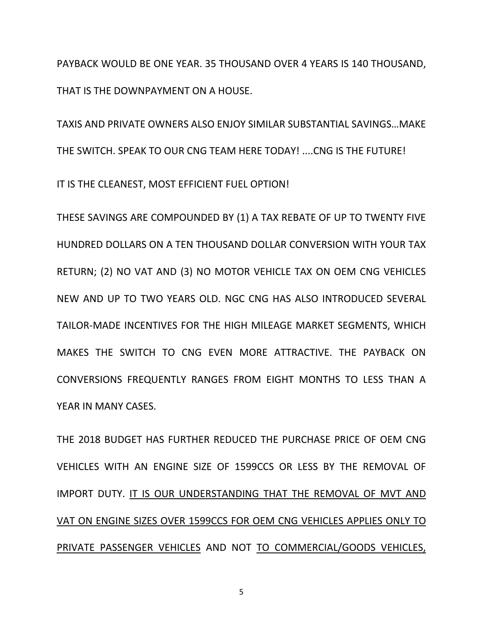PAYBACK WOULD BE ONE YEAR. 35 THOUSAND OVER 4 YEARS IS 140 THOUSAND, THAT IS THE DOWNPAYMENT ON A HOUSE.

TAXIS AND PRIVATE OWNERS ALSO ENJOY SIMILAR SUBSTANTIAL SAVINGS…MAKE THE SWITCH. SPEAK TO OUR CNG TEAM HERE TODAY! ....CNG IS THE FUTURE!

IT IS THE CLEANEST, MOST EFFICIENT FUEL OPTION!

THESE SAVINGS ARE COMPOUNDED BY (1) A TAX REBATE OF UP TO TWENTY FIVE HUNDRED DOLLARS ON A TEN THOUSAND DOLLAR CONVERSION WITH YOUR TAX RETURN; (2) NO VAT AND (3) NO MOTOR VEHICLE TAX ON OEM CNG VEHICLES NEW AND UP TO TWO YEARS OLD. NGC CNG HAS ALSO INTRODUCED SEVERAL TAILOR-MADE INCENTIVES FOR THE HIGH MILEAGE MARKET SEGMENTS, WHICH MAKES THE SWITCH TO CNG EVEN MORE ATTRACTIVE. THE PAYBACK ON CONVERSIONS FREQUENTLY RANGES FROM EIGHT MONTHS TO LESS THAN A YEAR IN MANY CASES.

THE 2018 BUDGET HAS FURTHER REDUCED THE PURCHASE PRICE OF OEM CNG VEHICLES WITH AN ENGINE SIZE OF 1599CCS OR LESS BY THE REMOVAL OF IMPORT DUTY. IT IS OUR UNDERSTANDING THAT THE REMOVAL OF MVT AND VAT ON ENGINE SIZES OVER 1599CCS FOR OEM CNG VEHICLES APPLIES ONLY TO PRIVATE PASSENGER VEHICLES AND NOT TO COMMERCIAL/GOODS VEHICLES,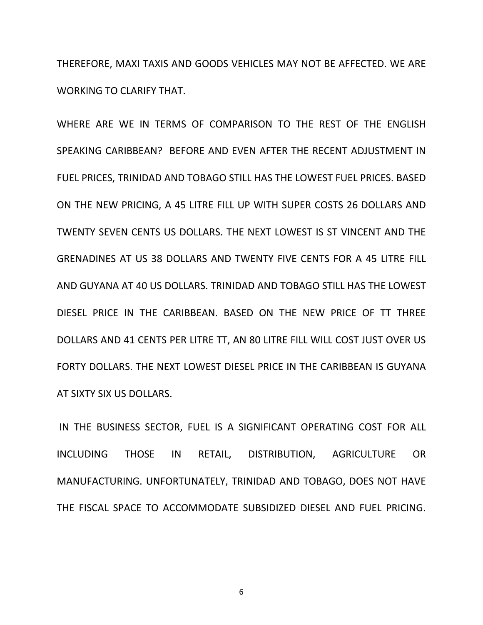THEREFORE, MAXI TAXIS AND GOODS VEHICLES MAY NOT BE AFFECTED. WE ARE WORKING TO CLARIFY THAT.

WHERE ARE WE IN TERMS OF COMPARISON TO THE REST OF THE ENGLISH SPEAKING CARIBBEAN? BEFORE AND EVEN AFTER THE RECENT ADJUSTMENT IN FUEL PRICES, TRINIDAD AND TOBAGO STILL HAS THE LOWEST FUEL PRICES. BASED ON THE NEW PRICING, A 45 LITRE FILL UP WITH SUPER COSTS 26 DOLLARS AND TWENTY SEVEN CENTS US DOLLARS. THE NEXT LOWEST IS ST VINCENT AND THE GRENADINES AT US 38 DOLLARS AND TWENTY FIVE CENTS FOR A 45 LITRE FILL AND GUYANA AT 40 US DOLLARS. TRINIDAD AND TOBAGO STILL HAS THE LOWEST DIESEL PRICE IN THE CARIBBEAN. BASED ON THE NEW PRICE OF TT THREE DOLLARS AND 41 CENTS PER LITRE TT, AN 80 LITRE FILL WILL COST JUST OVER US FORTY DOLLARS. THE NEXT LOWEST DIESEL PRICE IN THE CARIBBEAN IS GUYANA AT SIXTY SIX US DOLLARS.

IN THE BUSINESS SECTOR, FUEL IS A SIGNIFICANT OPERATING COST FOR ALL INCLUDING THOSE IN RETAIL, DISTRIBUTION, AGRICULTURE OR MANUFACTURING. UNFORTUNATELY, TRINIDAD AND TOBAGO, DOES NOT HAVE THE FISCAL SPACE TO ACCOMMODATE SUBSIDIZED DIESEL AND FUEL PRICING.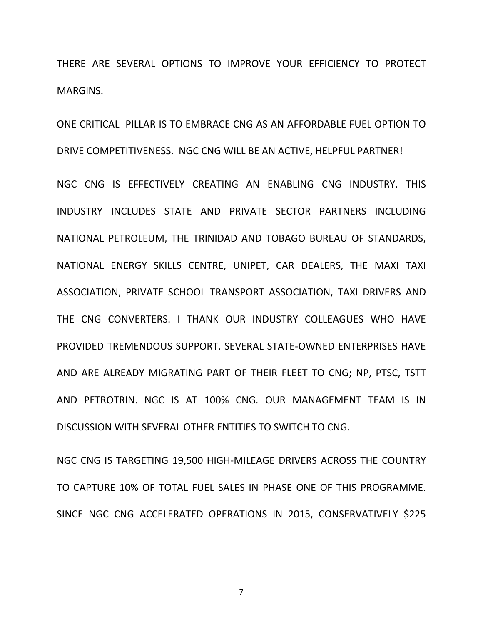THERE ARE SEVERAL OPTIONS TO IMPROVE YOUR EFFICIENCY TO PROTECT MARGINS.

ONE CRITICAL PILLAR IS TO EMBRACE CNG AS AN AFFORDABLE FUEL OPTION TO DRIVE COMPETITIVENESS. NGC CNG WILL BE AN ACTIVE, HELPFUL PARTNER!

NGC CNG IS EFFECTIVELY CREATING AN ENABLING CNG INDUSTRY. THIS INDUSTRY INCLUDES STATE AND PRIVATE SECTOR PARTNERS INCLUDING NATIONAL PETROLEUM, THE TRINIDAD AND TOBAGO BUREAU OF STANDARDS, NATIONAL ENERGY SKILLS CENTRE, UNIPET, CAR DEALERS, THE MAXI TAXI ASSOCIATION, PRIVATE SCHOOL TRANSPORT ASSOCIATION, TAXI DRIVERS AND THE CNG CONVERTERS. I THANK OUR INDUSTRY COLLEAGUES WHO HAVE PROVIDED TREMENDOUS SUPPORT. SEVERAL STATE-OWNED ENTERPRISES HAVE AND ARE ALREADY MIGRATING PART OF THEIR FLEET TO CNG; NP, PTSC, TSTT AND PETROTRIN. NGC IS AT 100% CNG. OUR MANAGEMENT TEAM IS IN DISCUSSION WITH SEVERAL OTHER ENTITIES TO SWITCH TO CNG.

NGC CNG IS TARGETING 19,500 HIGH-MILEAGE DRIVERS ACROSS THE COUNTRY TO CAPTURE 10% OF TOTAL FUEL SALES IN PHASE ONE OF THIS PROGRAMME. SINCE NGC CNG ACCELERATED OPERATIONS IN 2015, CONSERVATIVELY \$225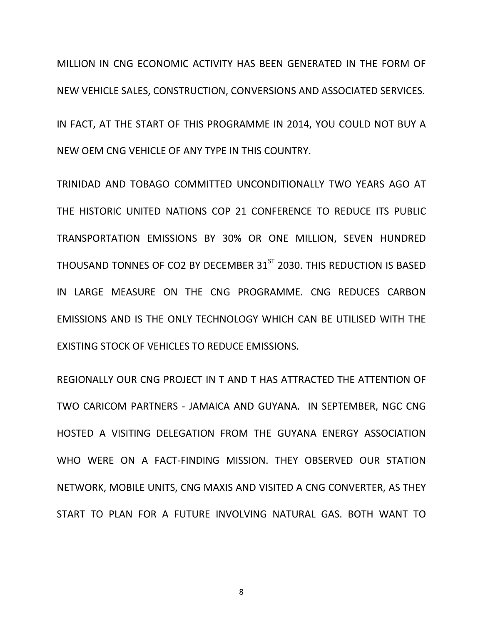MILLION IN CNG ECONOMIC ACTIVITY HAS BEEN GENERATED IN THE FORM OF NEW VEHICLE SALES, CONSTRUCTION, CONVERSIONS AND ASSOCIATED SERVICES.

IN FACT, AT THE START OF THIS PROGRAMME IN 2014, YOU COULD NOT BUY A NEW OEM CNG VEHICLE OF ANY TYPE IN THIS COUNTRY.

TRINIDAD AND TOBAGO COMMITTED UNCONDITIONALLY TWO YEARS AGO AT THE HISTORIC UNITED NATIONS COP 21 CONFERENCE TO REDUCE ITS PUBLIC TRANSPORTATION EMISSIONS BY 30% OR ONE MILLION, SEVEN HUNDRED THOUSAND TONNES OF CO2 BY DECEMBER 31<sup>ST</sup> 2030. THIS REDUCTION IS BASED IN LARGE MEASURE ON THE CNG PROGRAMME. CNG REDUCES CARBON EMISSIONS AND IS THE ONLY TECHNOLOGY WHICH CAN BE UTILISED WITH THE EXISTING STOCK OF VEHICLES TO REDUCE EMISSIONS.

REGIONALLY OUR CNG PROJECT IN T AND T HAS ATTRACTED THE ATTENTION OF TWO CARICOM PARTNERS - JAMAICA AND GUYANA. IN SEPTEMBER, NGC CNG HOSTED A VISITING DELEGATION FROM THE GUYANA ENERGY ASSOCIATION WHO WERE ON A FACT-FINDING MISSION. THEY OBSERVED OUR STATION NETWORK, MOBILE UNITS, CNG MAXIS AND VISITED A CNG CONVERTER, AS THEY START TO PLAN FOR A FUTURE INVOLVING NATURAL GAS. BOTH WANT TO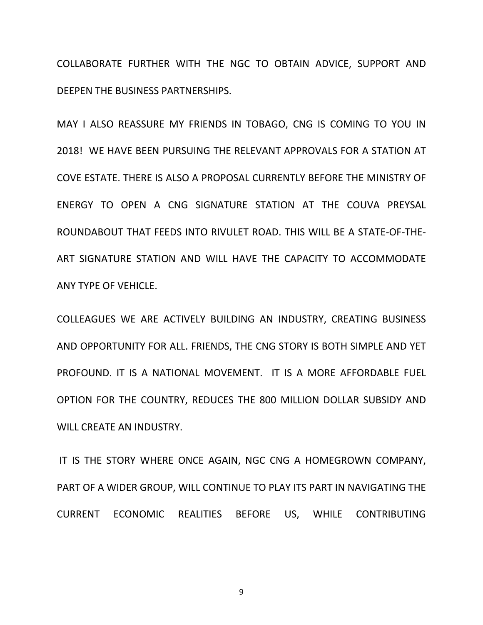COLLABORATE FURTHER WITH THE NGC TO OBTAIN ADVICE, SUPPORT AND DEEPEN THE BUSINESS PARTNERSHIPS.

MAY I ALSO REASSURE MY FRIENDS IN TOBAGO, CNG IS COMING TO YOU IN 2018! WE HAVE BEEN PURSUING THE RELEVANT APPROVALS FOR A STATION AT COVE ESTATE. THERE IS ALSO A PROPOSAL CURRENTLY BEFORE THE MINISTRY OF ENERGY TO OPEN A CNG SIGNATURE STATION AT THE COUVA PREYSAL ROUNDABOUT THAT FEEDS INTO RIVULET ROAD. THIS WILL BE A STATE-OF-THE-ART SIGNATURE STATION AND WILL HAVE THE CAPACITY TO ACCOMMODATE ANY TYPE OF VEHICLE.

COLLEAGUES WE ARE ACTIVELY BUILDING AN INDUSTRY, CREATING BUSINESS AND OPPORTUNITY FOR ALL. FRIENDS, THE CNG STORY IS BOTH SIMPLE AND YET PROFOUND. IT IS A NATIONAL MOVEMENT. IT IS A MORE AFFORDABLE FUEL OPTION FOR THE COUNTRY, REDUCES THE 800 MILLION DOLLAR SUBSIDY AND WILL CREATE AN INDUSTRY.

IT IS THE STORY WHERE ONCE AGAIN, NGC CNG A HOMEGROWN COMPANY, PART OF A WIDER GROUP, WILL CONTINUE TO PLAY ITS PART IN NAVIGATING THE CURRENT ECONOMIC REALITIES BEFORE US, WHILE CONTRIBUTING